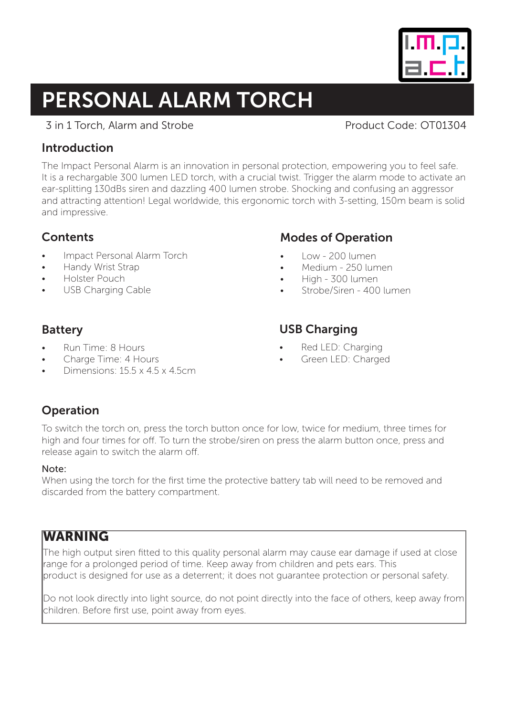# PERSONAL ALARM TORCH

## 3 in 1 Torch, Alarm and Strobe Product Code: OT01304

## Introduction

The Impact Personal Alarm is an innovation in personal protection, empowering you to feel safe. It is a rechargable 300 lumen LED torch, with a crucial twist. Trigger the alarm mode to activate an ear-splitting 130dBs siren and dazzling 400 lumen strobe. Shocking and confusing an aggressor and attracting attention! Legal worldwide, this ergonomic torch with 3-setting, 150m beam is solid and impressive.

## **Contents**

- Impact Personal Alarm Torch
- Handy Wrist Strap
- Holster Pouch
- USB Charging Cable

## Modes of Operation

- Low 200 lumen
- Medium 250 lumen
- High 300 lumen
- Strobe/Siren 400 lumen

## Battery

- Run Time: 8 Hours
- Charge Time: 4 Hours
- Dimensions: 15.5 x 4.5 x 4.5cm

## USB Charging

- Red LED: Charging
- Green LED: Charged

## Operation

To switch the torch on, press the torch button once for low, twice for medium, three times for high and four times for off. To turn the strobe/siren on press the alarm button once, press and release again to switch the alarm off.

## Note:

When using the torch for the first time the protective battery tab will need to be removed and discarded from the battery compartment.

## **WARNING**

The high output siren fitted to this quality personal alarm may cause ear damage if used at close range for a prolonged period of time. Keep away from children and pets ears. This product is designed for use as a deterrent; it does not guarantee protection or personal safety.

Do not look directly into light source, do not point directly into the face of others, keep away from children. Before first use, point away from eyes.